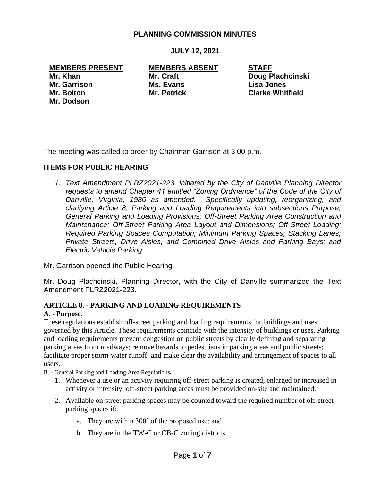### **PLANNING COMMISSION MINUTES**

**JULY 12, 2021**

# **MEMBERS PRESENT MEMBERS ABSENT STAFF**

**Mr. Garrison Ms. Evans Lisa Jones Mr. Dodson**

**Mr. Khan Mr. Craft Doug Plachcinski Mr. Bolton Mr. Petrick Clarke Whitfield**

The meeting was called to order by Chairman Garrison at 3:00 p.m.

### **ITEMS FOR PUBLIC HEARING**

*1. Text Amendment PLRZ2021-223, initiated by the City of Danville Planning Director requests to amend Chapter 41 entitled "Zoning Ordinance" of the Code of the City of Danville, Virginia, 1986 as amended. Specifically updating, reorganizing, and clarifying Article 8, Parking and Loading Requirements into subsections Purpose; General Parking and Loading Provisions; Off-Street Parking Area Construction and Maintenance; Off-Street Parking Area Layout and Dimensions; Off-Street Loading; Required Parking Spaces Computation; Minimum Parking Spaces; Stacking Lanes; Private Streets, Drive Aisles, and Combined Drive Aisles and Parking Bays; and Electric Vehicle Parking.*

Mr. Garrison opened the Public Hearing.

Mr. Doug Plachcinski, Planning Director, with the City of Danville summarized the Text Amendment PLRZ2021-223.

#### **ARTICLE 8. - PARKING AND LOADING REQUIREMENTS**

#### **A. - Purpose.**

These regulations establish off-street parking and loading requirements for buildings and uses governed by this Article. These requirements coincide with the intensity of buildings or uses. Parking and loading requirements prevent congestion on public streets by clearly defining and separating parking areas from roadways; remove hazards to pedestrians in parking areas and public streets; facilitate proper storm-water runoff; and make clear the availability and arrangement of spaces to all users.

B. - General Parking and Loading Area Regulations**.** 

- 1. Whenever a use or an activity requiring off-street parking is created, enlarged or increased in activity or intensity, off-street parking areas must be provided on-site and maintained.
- 2. Available on-street parking spaces may be counted toward the required number of off-street parking spaces if:
	- a. They are within 300' of the proposed use; and
	- b. They are in the TW-C or CB-C zoning districts.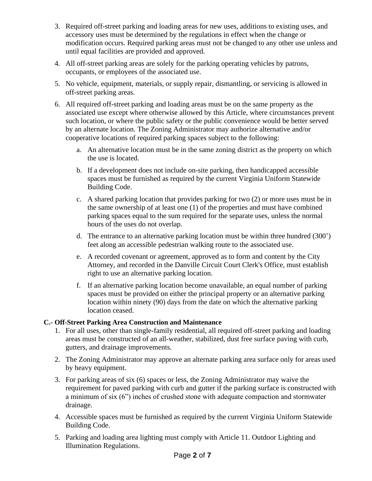- 3. Required off-street parking and loading areas for new uses, additions to existing uses, and accessory uses must be determined by the regulations in effect when the change or modification occurs. Required parking areas must not be changed to any other use unless and until equal facilities are provided and approved.
- 4. All off-street parking areas are solely for the parking operating vehicles by patrons, occupants, or employees of the associated use.
- 5. No vehicle, equipment, materials, or supply repair, dismantling, or servicing is allowed in off-street parking areas.
- 6. All required off-street parking and loading areas must be on the same property as the associated use except where otherwise allowed by this Article, where circumstances prevent such location, or where the public safety or the public convenience would be better served by an alternate location. The Zoning Administrator may authorize alternative and/or cooperative locations of required parking spaces subject to the following:
	- a. An alternative location must be in the same zoning district as the property on which the use is located.
	- b. If a development does not include on-site parking, then handicapped accessible spaces must be furnished as required by the current Virginia Uniform Statewide Building Code.
	- c. A shared parking location that provides parking for two (2) or more uses must be in the same ownership of at least one (1) of the properties and must have combined parking spaces equal to the sum required for the separate uses, unless the normal hours of the uses do not overlap.
	- d. The entrance to an alternative parking location must be within three hundred (300') feet along an accessible pedestrian walking route to the associated use.
	- e. A recorded covenant or agreement, approved as to form and content by the City Attorney, and recorded in the Danville Circuit Court Clerk's Office, must establish right to use an alternative parking location.
	- f. If an alternative parking location become unavailable, an equal number of parking spaces must be provided on either the principal property or an alternative parking location within ninety (90) days from the date on which the alternative parking location ceased.

## **C.- Off-Street Parking Area Construction and Maintenance**

- 1. For all uses, other than single-family residential, all required off-street parking and loading areas must be constructed of an all-weather, stabilized, dust free surface paving with curb, gutters, and drainage improvements.
- 2. The Zoning Administrator may approve an alternate parking area surface only for areas used by heavy equipment.
- 3. For parking areas of six (6) spaces or less, the Zoning Administrator may waive the requirement for paved parking with curb and gutter if the parking surface is constructed with a minimum of six (6") inches of crushed stone with adequate compaction and stormwater drainage.
- 4. Accessible spaces must be furnished as required by the current Virginia Uniform Statewide Building Code.
- 5. Parking and loading area lighting must comply with Article 11. Outdoor Lighting and Illumination Regulations.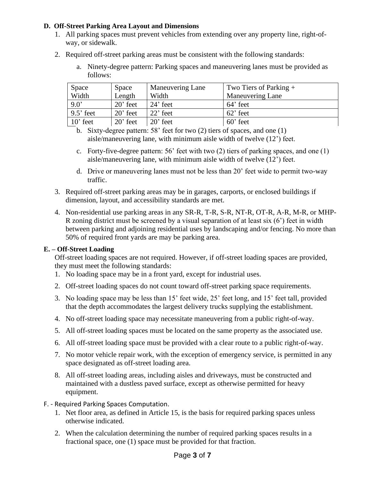#### **D. Off-Street Parking Area Layout and Dimensions**

- 1. All parking spaces must prevent vehicles from extending over any property line, right-ofway, or sidewalk.
- 2. Required off-street parking areas must be consistent with the following standards:
	- a. Ninety-degree pattern: Parking spaces and maneuvering lanes must be provided as follows:

| Space         | Space      | <b>Maneuvering Lane</b> | Two Tiers of Parking $+$ |
|---------------|------------|-------------------------|--------------------------|
| Width         | Length     | Width                   | Maneuvering Lane         |
| $9.0^{\circ}$ | $20'$ feet | $24'$ feet              | $64'$ feet               |
| $9.5'$ feet   | $20'$ feet | $22'$ feet              | $62$ ' feet              |
| $10'$ feet    | $20'$ feet | $20'$ feet              | $60'$ feet               |

b. Sixty-degree pattern: 58' feet for two (2) tiers of spaces, and one (1) aisle/maneuvering lane, with minimum aisle width of twelve (12') feet.

- c. Forty-five-degree pattern: 56' feet with two (2) tiers of parking spaces, and one (1) aisle/maneuvering lane, with minimum aisle width of twelve (12') feet.
- d. Drive or maneuvering lanes must not be less than 20' feet wide to permit two-way traffic.
- 3. Required off-street parking areas may be in garages, carports, or enclosed buildings if dimension, layout, and accessibility standards are met.
- 4. Non-residential use parking areas in any SR-R, T-R, S-R, NT-R, OT-R, A-R, M-R, or MHP-R zoning district must be screened by a visual separation of at least six (6') feet in width between parking and adjoining residential uses by landscaping and/or fencing. No more than 50% of required front yards are may be parking area.

#### **E. – Off-Street Loading**

Off-street loading spaces are not required. However, if off-street loading spaces are provided, they must meet the following standards:

- 1. No loading space may be in a front yard, except for industrial uses.
- 2. Off-street loading spaces do not count toward off-street parking space requirements.
- 3. No loading space may be less than 15' feet wide, 25' feet long, and 15' feet tall, provided that the depth accommodates the largest delivery trucks supplying the establishment.
- 4. No off-street loading space may necessitate maneuvering from a public right-of-way.
- 5. All off-street loading spaces must be located on the same property as the associated use.
- 6. All off-street loading space must be provided with a clear route to a public right-of-way.
- 7. No motor vehicle repair work, with the exception of emergency service, is permitted in any space designated as off-street loading area.
- 8. All off-street loading areas, including aisles and driveways, must be constructed and maintained with a dustless paved surface, except as otherwise permitted for heavy equipment.
- F. Required Parking Spaces Computation.
	- 1. Net floor area, as defined in Article 15, is the basis for required parking spaces unless otherwise indicated.
	- 2. When the calculation determining the number of required parking spaces results in a fractional space, one (1) space must be provided for that fraction.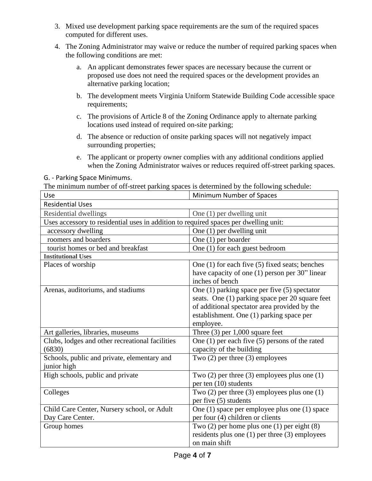- 3. Mixed use development parking space requirements are the sum of the required spaces computed for different uses.
- 4. The Zoning Administrator may waive or reduce the number of required parking spaces when the following conditions are met:
	- a. An applicant demonstrates fewer spaces are necessary because the current or proposed use does not need the required spaces or the development provides an alternative parking location;
	- b. The development meets Virginia Uniform Statewide Building Code accessible space requirements;
	- c. The provisions of Article 8 of the Zoning Ordinance apply to alternate parking locations used instead of required on-site parking;
	- d. The absence or reduction of onsite parking spaces will not negatively impact surrounding properties;
	- e. The applicant or property owner complies with any additional conditions applied when the Zoning Administrator waives or reduces required off-street parking spaces.

G. - Parking Space Minimums.

The minimum number of off-street parking spaces is determined by the following schedule:

| Use                                                                                  | Minimum Number of Spaces                           |  |  |
|--------------------------------------------------------------------------------------|----------------------------------------------------|--|--|
| <b>Residential Uses</b>                                                              |                                                    |  |  |
| Residential dwellings                                                                | One (1) per dwelling unit                          |  |  |
| Uses accessory to residential uses in addition to required spaces per dwelling unit: |                                                    |  |  |
| accessory dwelling                                                                   | One (1) per dwelling unit                          |  |  |
| roomers and boarders                                                                 | One $(1)$ per boarder                              |  |  |
| tourist homes or bed and breakfast                                                   | One (1) for each guest bedroom                     |  |  |
| <b>Institutional Uses</b>                                                            |                                                    |  |  |
| Places of worship                                                                    | One $(1)$ for each five $(5)$ fixed seats; benches |  |  |
|                                                                                      | have capacity of one (1) person per 30" linear     |  |  |
|                                                                                      | inches of bench                                    |  |  |
| Arenas, auditoriums, and stadiums                                                    | One (1) parking space per five (5) spectator       |  |  |
|                                                                                      | seats. One (1) parking space per 20 square feet    |  |  |
|                                                                                      | of additional spectator area provided by the       |  |  |
|                                                                                      | establishment. One (1) parking space per           |  |  |
|                                                                                      | employee.                                          |  |  |
| Art galleries, libraries, museums                                                    | Three $(3)$ per 1,000 square feet                  |  |  |
| Clubs, lodges and other recreational facilities                                      | One $(1)$ per each five $(5)$ persons of the rated |  |  |
| (6830)                                                                               | capacity of the building                           |  |  |
| Schools, public and private, elementary and                                          | Two $(2)$ per three $(3)$ employees                |  |  |
| junior high                                                                          |                                                    |  |  |
| High schools, public and private                                                     | Two $(2)$ per three $(3)$ employees plus one $(1)$ |  |  |
|                                                                                      | per ten (10) students                              |  |  |
| Colleges                                                                             | Two $(2)$ per three $(3)$ employees plus one $(1)$ |  |  |
|                                                                                      | per five (5) students                              |  |  |
| Child Care Center, Nursery school, or Adult                                          | One (1) space per employee plus one (1) space      |  |  |
| Day Care Center.                                                                     | per four (4) children or clients                   |  |  |
| Group homes                                                                          | Two $(2)$ per home plus one $(1)$ per eight $(8)$  |  |  |
|                                                                                      | residents plus one $(1)$ per three $(3)$ employees |  |  |
|                                                                                      | on main shift                                      |  |  |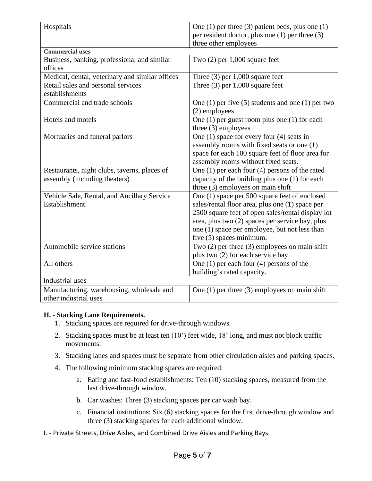| Hospitals                                                          | One $(1)$ per three $(3)$ patient beds, plus one $(1)$                                                                                                                                                                                                                                |  |  |
|--------------------------------------------------------------------|---------------------------------------------------------------------------------------------------------------------------------------------------------------------------------------------------------------------------------------------------------------------------------------|--|--|
|                                                                    | per resident doctor, plus one $(1)$ per three $(3)$                                                                                                                                                                                                                                   |  |  |
|                                                                    | three other employees                                                                                                                                                                                                                                                                 |  |  |
| <b>Commercial uses</b>                                             |                                                                                                                                                                                                                                                                                       |  |  |
| Business, banking, professional and similar                        | Two $(2)$ per 1,000 square feet                                                                                                                                                                                                                                                       |  |  |
| offices                                                            |                                                                                                                                                                                                                                                                                       |  |  |
| Medical, dental, veterinary and similar offices                    | Three $(3)$ per 1,000 square feet                                                                                                                                                                                                                                                     |  |  |
| Retail sales and personal services<br>establishments               | Three $(3)$ per 1,000 square feet                                                                                                                                                                                                                                                     |  |  |
| Commercial and trade schools                                       | One $(1)$ per five $(5)$ students and one $(1)$ per two<br>(2) employees                                                                                                                                                                                                              |  |  |
| Hotels and motels                                                  | One $(1)$ per guest room plus one $(1)$ for each<br>three $(3)$ employees                                                                                                                                                                                                             |  |  |
| Mortuaries and funeral parlors                                     | One $(1)$ space for every four $(4)$ seats in<br>assembly rooms with fixed seats or one (1)<br>space for each 100 square feet of floor area for<br>assembly rooms without fixed seats.                                                                                                |  |  |
| Restaurants, night clubs, taverns, places of                       | One $(1)$ per each four $(4)$ persons of the rated                                                                                                                                                                                                                                    |  |  |
| assembly (including theaters)                                      | capacity of the building plus one (1) for each<br>three $(3)$ employees on main shift                                                                                                                                                                                                 |  |  |
| Vehicle Sale, Rental, and Ancillary Service<br>Establishment.      | One (1) space per 500 square feet of enclosed<br>sales/rental floor area, plus one (1) space per<br>2500 square feet of open sales/rental display lot<br>area, plus two (2) spaces per service bay, plus<br>one (1) space per employee, but not less than<br>five (5) spaces minimum. |  |  |
| Automobile service stations                                        | Two $(2)$ per three $(3)$ employees on main shift<br>plus two (2) for each service bay                                                                                                                                                                                                |  |  |
| All others                                                         | One $(1)$ per each four $(4)$ persons of the<br>building's rated capacity.                                                                                                                                                                                                            |  |  |
| Industrial uses                                                    |                                                                                                                                                                                                                                                                                       |  |  |
| Manufacturing, warehousing, wholesale and<br>other industrial uses | One $(1)$ per three $(3)$ employees on main shift                                                                                                                                                                                                                                     |  |  |

#### **H. - Stacking Lane Requirements.**

- 1. Stacking spaces are required for drive-through windows.
- 2. Stacking spaces must be at least ten (10') feet wide, 18' long, and must not block traffic movements.
- 3. Stacking lanes and spaces must be separate from other circulation aisles and parking spaces.
- 4. The following minimum stacking spaces are required:
	- a. Eating and fast-food establishments: Ten (10) stacking spaces, measured from the last drive-through window.
	- b. Car washes: Three (3) stacking spaces per car wash bay.
	- c. Financial institutions: Six (6) stacking spaces for the first drive-through window and three (3) stacking spaces for each additional window.
- I. Private Streets, Drive Aisles, and Combined Drive Aisles and Parking Bays.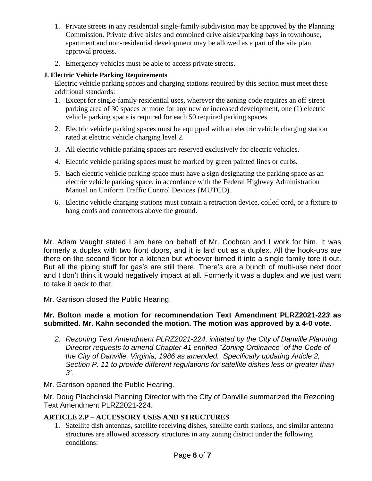- 1. Private streets in any residential single-family subdivision may be approved by the Planning Commission. Private drive aisles and combined drive aisles/parking bays in townhouse, apartment and non-residential development may be allowed as a part of the site plan approval process.
- 2. Emergency vehicles must be able to access private streets.

## **J. Electric Vehicle Parking Requirements**

Electric vehicle parking spaces and charging stations required by this section must meet these additional standards:

- 1. Except for single-family residential uses, wherever the zoning code requires an off-street parking area of 30 spaces or more for any new or increased development, one (1) electric vehicle parking space is required for each 50 required parking spaces.
- 2. Electric vehicle parking spaces must be equipped with an electric vehicle charging station rated at electric vehicle charging level 2.
- 3. All electric vehicle parking spaces are reserved exclusively for electric vehicles.
- 4. Electric vehicle parking spaces must be marked by green painted lines or curbs.
- 5. Each electric vehicle parking space must have a sign designating the parking space as an electric vehicle parking space. in accordance with the Federal Highway Administration Manual on Uniform Traffic Control Devices {MUTCD).
- 6. Electric vehicle charging stations must contain a retraction device, coiled cord, or a fixture to hang cords and connectors above the ground.

Mr. Adam Vaught stated I am here on behalf of Mr. Cochran and I work for him. It was formerly a duplex with two front doors, and it is laid out as a duplex. All the hook-ups are there on the second floor for a kitchen but whoever turned it into a single family tore it out. But all the piping stuff for gas's are still there. There's are a bunch of multi-use next door and I don't think it would negatively impact at all. Formerly it was a duplex and we just want to take it back to that.

Mr. Garrison closed the Public Hearing.

#### **Mr. Bolton made a motion for recommendation Text Amendment PLRZ2021-22***3* **as submitted. Mr. Kahn seconded the motion. The motion was approved by a 4-0 vote.**

*2. Rezoning Text Amendment PLRZ2021-224, initiated by the City of Danville Planning Director requests to amend Chapter 41 entitled "Zoning Ordinance" of the Code of the City of Danville, Virginia, 1986 as amended. Specifically updating Article 2, Section P. 11 to provide different regulations for satellite dishes less or greater than 3'.*

Mr. Garrison opened the Public Hearing.

Mr. Doug Plachcinski Planning Director with the City of Danville summarized the Rezoning Text Amendment PLRZ2021-224.

## **ARTICLE 2.P – ACCESSORY USES AND STRUCTURES**

1. Satellite dish antennas, satellite receiving dishes, satellite earth stations, and similar antenna structures are allowed accessory structures in any zoning district under the following conditions: